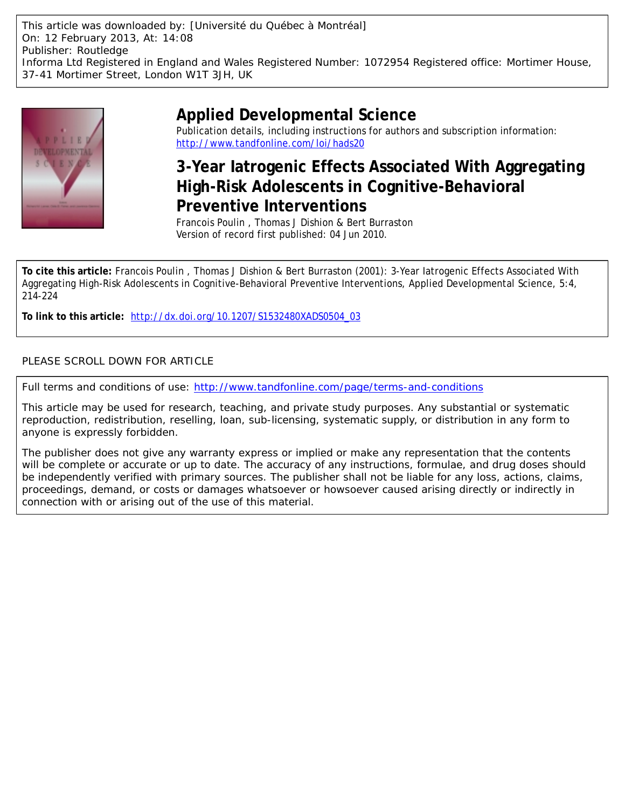This article was downloaded by: [Université du Québec à Montréal] On: 12 February 2013, At: 14:08 Publisher: Routledge Informa Ltd Registered in England and Wales Registered Number: 1072954 Registered office: Mortimer House, 37-41 Mortimer Street, London W1T 3JH, UK



# **Applied Developmental Science**

Publication details, including instructions for authors and subscription information: <http://www.tandfonline.com/loi/hads20>

## **3-Year Iatrogenic Effects Associated With Aggregating High-Risk Adolescents in Cognitive-Behavioral Preventive Interventions**

Francois Poulin , Thomas J Dishion & Bert Burraston Version of record first published: 04 Jun 2010.

**To cite this article:** Francois Poulin , Thomas J Dishion & Bert Burraston (2001): 3-Year Iatrogenic Effects Associated With Aggregating High-Risk Adolescents in Cognitive-Behavioral Preventive Interventions, Applied Developmental Science, 5:4, 214-224

**To link to this article:** [http://dx.doi.org/10.1207/S1532480XADS0504\\_03](http://dx.doi.org/10.1207/S1532480XADS0504_03)

### PLEASE SCROLL DOWN FOR ARTICLE

Full terms and conditions of use:<http://www.tandfonline.com/page/terms-and-conditions>

This article may be used for research, teaching, and private study purposes. Any substantial or systematic reproduction, redistribution, reselling, loan, sub-licensing, systematic supply, or distribution in any form to anyone is expressly forbidden.

The publisher does not give any warranty express or implied or make any representation that the contents will be complete or accurate or up to date. The accuracy of any instructions, formulae, and drug doses should be independently verified with primary sources. The publisher shall not be liable for any loss, actions, claims, proceedings, demand, or costs or damages whatsoever or howsoever caused arising directly or indirectly in connection with or arising out of the use of this material.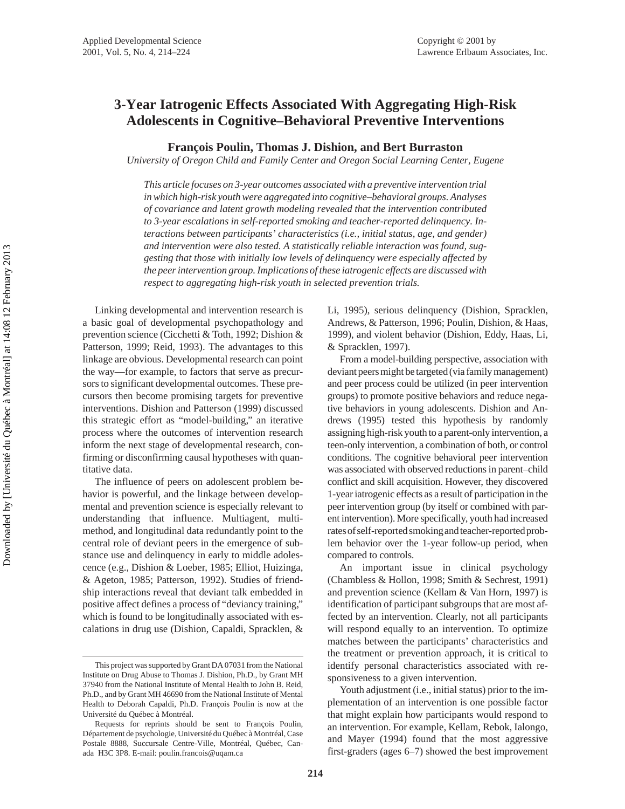### **3-Year Iatrogenic Effects Associated With Aggregating High-Risk Adolescents in Cognitive–Behavioral Preventive Interventions**

**François Poulin, Thomas J. Dishion, and Bert Burraston**

*University of Oregon Child and Family Center and Oregon Social Learning Center, Eugene*

*This article focuses on 3-year outcomes associated with a preventive intervention trial in which high-risk youth were aggregated into cognitive–behavioral groups. Analyses of covariance and latent growth modeling revealed that the intervention contributed to 3-year escalations in self-reported smoking and teacher-reported delinquency. Interactions between participants' characteristics (i.e., initial status, age, and gender) and intervention were also tested. A statistically reliable interaction was found, suggesting that those with initially low levels of delinquency were especially affected by the peer intervention group. Implications of these iatrogenic effects are discussed with respect to aggregating high-risk youth in selected prevention trials.*

Linking developmental and intervention research is a basic goal of developmental psychopathology and prevention science (Cicchetti & Toth, 1992; Dishion & Patterson, 1999; Reid, 1993). The advantages to this linkage are obvious. Developmental research can point the way—for example, to factors that serve as precursors to significant developmental outcomes. These precursors then become promising targets for preventive interventions. Dishion and Patterson (1999) discussed this strategic effort as "model-building," an iterative process where the outcomes of intervention research inform the next stage of developmental research, confirming or disconfirming causal hypotheses with quantitative data.

The influence of peers on adolescent problem behavior is powerful, and the linkage between developmental and prevention science is especially relevant to understanding that influence. Multiagent, multimethod, and longitudinal data redundantly point to the central role of deviant peers in the emergence of substance use and delinquency in early to middle adolescence (e.g., Dishion & Loeber, 1985; Elliot, Huizinga, & Ageton, 1985; Patterson, 1992). Studies of friendship interactions reveal that deviant talk embedded in positive affect defines a process of "deviancy training," which is found to be longitudinally associated with escalations in drug use (Dishion, Capaldi, Spracklen, & Li, 1995), serious delinquency (Dishion, Spracklen, Andrews, & Patterson, 1996; Poulin, Dishion, & Haas, 1999), and violent behavior (Dishion, Eddy, Haas, Li, & Spracklen, 1997).

From a model-building perspective, association with deviant peers might be targeted (via family management) and peer process could be utilized (in peer intervention groups) to promote positive behaviors and reduce negative behaviors in young adolescents. Dishion and Andrews (1995) tested this hypothesis by randomly assigning high-risk youth to a parent-only intervention, a teen-only intervention, a combination of both, or control conditions. The cognitive behavioral peer intervention was associated with observed reductions in parent–child conflict and skill acquisition. However, they discovered 1-year iatrogenic effects as a result of participation in the peer intervention group (by itself or combined with parent intervention). More specifically, youth had increased rates of self-reported smoking and teacher-reported problem behavior over the 1-year follow-up period, when compared to controls.

An important issue in clinical psychology (Chambless & Hollon, 1998; Smith & Sechrest, 1991) and prevention science (Kellam & Van Horn, 1997) is identification of participant subgroups that are most affected by an intervention. Clearly, not all participants will respond equally to an intervention. To optimize matches between the participants' characteristics and the treatment or prevention approach, it is critical to identify personal characteristics associated with responsiveness to a given intervention.

Youth adjustment (i.e., initial status) prior to the implementation of an intervention is one possible factor that might explain how participants would respond to an intervention. For example, Kellam, Rebok, Ialongo, and Mayer (1994) found that the most aggressive first-graders (ages 6–7) showed the best improvement

This project was supported by Grant DA 07031 from the National Institute on Drug Abuse to Thomas J. Dishion, Ph.D., by Grant MH 37940 from the National Institute of Mental Health to John B. Reid, Ph.D., and by Grant MH 46690 from the National Institute of Mental Health to Deborah Capaldi, Ph.D. François Poulin is now at the Université du Québec à Montréal.

Requests for reprints should be sent to François Poulin, Département de psychologie, Université du Québec à Montréal, Case Postale 8888, Succursale Centre-Ville, Montréal, Québec, Canada H3C 3P8. E-mail: poulin.francois@uqam.ca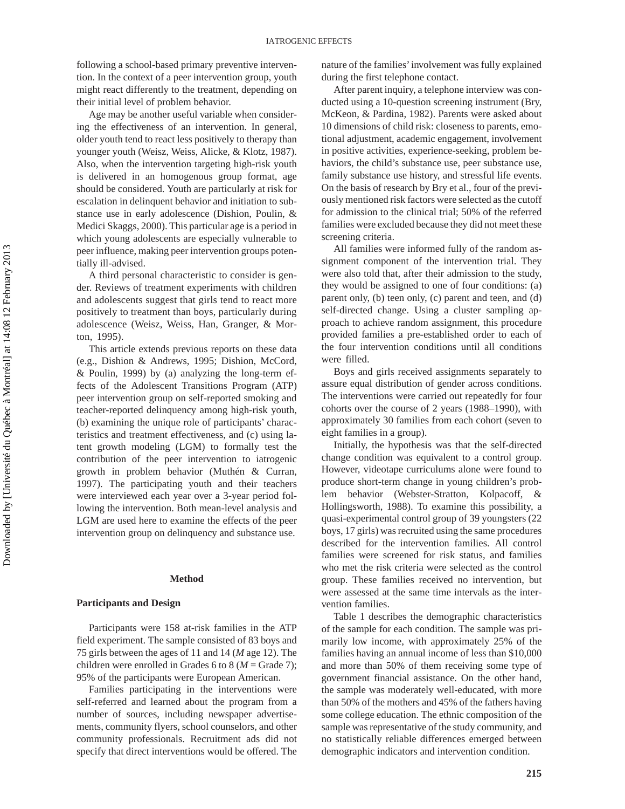following a school-based primary preventive intervention. In the context of a peer intervention group, youth might react differently to the treatment, depending on their initial level of problem behavior.

Age may be another useful variable when considering the effectiveness of an intervention. In general, older youth tend to react less positively to therapy than younger youth (Weisz, Weiss, Alicke, & Klotz, 1987). Also, when the intervention targeting high-risk youth is delivered in an homogenous group format, age should be considered. Youth are particularly at risk for escalation in delinquent behavior and initiation to substance use in early adolescence (Dishion, Poulin, & Medici Skaggs, 2000). This particular age is a period in which young adolescents are especially vulnerable to peer influence, making peer intervention groups potentially ill-advised.

A third personal characteristic to consider is gender. Reviews of treatment experiments with children and adolescents suggest that girls tend to react more positively to treatment than boys, particularly during adolescence (Weisz, Weiss, Han, Granger, & Morton, 1995).

This article extends previous reports on these data (e.g., Dishion & Andrews, 1995; Dishion, McCord, & Poulin, 1999) by (a) analyzing the long-term effects of the Adolescent Transitions Program (ATP) peer intervention group on self-reported smoking and teacher-reported delinquency among high-risk youth, (b) examining the unique role of participants' characteristics and treatment effectiveness, and (c) using latent growth modeling (LGM) to formally test the contribution of the peer intervention to iatrogenic growth in problem behavior (Muthén & Curran, 1997). The participating youth and their teachers were interviewed each year over a 3-year period following the intervention. Both mean-level analysis and LGM are used here to examine the effects of the peer intervention group on delinquency and substance use.

#### **Method**

#### **Participants and Design**

Participants were 158 at-risk families in the ATP field experiment. The sample consisted of 83 boys and 75 girls between the ages of 11 and 14 (*M* age 12). The children were enrolled in Grades 6 to 8 ( $M =$ Grade 7); 95% of the participants were European American.

Families participating in the interventions were self-referred and learned about the program from a number of sources, including newspaper advertisements, community flyers, school counselors, and other community professionals. Recruitment ads did not specify that direct interventions would be offered. The nature of the families'involvement was fully explained during the first telephone contact.

After parent inquiry, a telephone interview was conducted using a 10-question screening instrument (Bry, McKeon, & Pardina, 1982). Parents were asked about 10 dimensions of child risk: closeness to parents, emotional adjustment, academic engagement, involvement in positive activities, experience-seeking, problem behaviors, the child's substance use, peer substance use, family substance use history, and stressful life events. On the basis of research by Bry et al., four of the previously mentioned risk factors were selected as the cutoff for admission to the clinical trial; 50% of the referred families were excluded because they did not meet these screening criteria.

All families were informed fully of the random assignment component of the intervention trial. They were also told that, after their admission to the study, they would be assigned to one of four conditions: (a) parent only, (b) teen only, (c) parent and teen, and (d) self-directed change. Using a cluster sampling approach to achieve random assignment, this procedure provided families a pre-established order to each of the four intervention conditions until all conditions were filled.

Boys and girls received assignments separately to assure equal distribution of gender across conditions. The interventions were carried out repeatedly for four cohorts over the course of 2 years (1988–1990), with approximately 30 families from each cohort (seven to eight families in a group).

Initially, the hypothesis was that the self-directed change condition was equivalent to a control group. However, videotape curriculums alone were found to produce short-term change in young children's problem behavior (Webster-Stratton, Kolpacoff, & Hollingsworth, 1988). To examine this possibility, a quasi-experimental control group of 39 youngsters (22 boys, 17 girls) was recruited using the same procedures described for the intervention families. All control families were screened for risk status, and families who met the risk criteria were selected as the control group. These families received no intervention, but were assessed at the same time intervals as the intervention families.

Table 1 describes the demographic characteristics of the sample for each condition. The sample was primarily low income, with approximately 25% of the families having an annual income of less than \$10,000 and more than 50% of them receiving some type of government financial assistance. On the other hand, the sample was moderately well-educated, with more than 50% of the mothers and 45% of the fathers having some college education. The ethnic composition of the sample was representative of the study community, and no statistically reliable differences emerged between demographic indicators and intervention condition.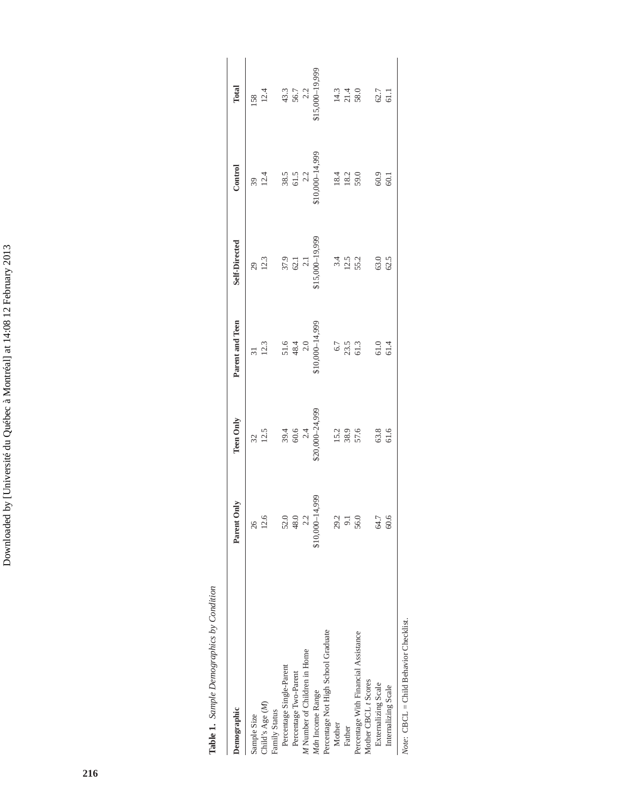| Demographic                            | Parent Only         | Teen Only                                                                         | Parent and Teen                                                                          | Self-Directed                                                                                     | Control                                                                                             | Total                                                                                   |
|----------------------------------------|---------------------|-----------------------------------------------------------------------------------|------------------------------------------------------------------------------------------|---------------------------------------------------------------------------------------------------|-----------------------------------------------------------------------------------------------------|-----------------------------------------------------------------------------------------|
| Sample Size                            | 26                  |                                                                                   |                                                                                          |                                                                                                   |                                                                                                     |                                                                                         |
| Child's Age (M)                        | 12.6                |                                                                                   |                                                                                          |                                                                                                   |                                                                                                     |                                                                                         |
| Family Status                          |                     |                                                                                   |                                                                                          |                                                                                                   |                                                                                                     |                                                                                         |
| Percentage Single-Parent               | 52.0                |                                                                                   |                                                                                          |                                                                                                   |                                                                                                     |                                                                                         |
| Percentage Two-Parent                  | 48.0                |                                                                                   |                                                                                          |                                                                                                   |                                                                                                     |                                                                                         |
| M Number of Children in Home           | 2.2                 |                                                                                   |                                                                                          |                                                                                                   |                                                                                                     |                                                                                         |
| Mdn Income Range                       | 999<br>$$10,000-14$ |                                                                                   |                                                                                          |                                                                                                   |                                                                                                     |                                                                                         |
| Percentage Not High School Graduate    |                     |                                                                                   |                                                                                          |                                                                                                   |                                                                                                     |                                                                                         |
| Mother                                 |                     |                                                                                   |                                                                                          |                                                                                                   |                                                                                                     |                                                                                         |
| Father                                 | 29.2<br>9.1<br>56.0 |                                                                                   |                                                                                          |                                                                                                   |                                                                                                     |                                                                                         |
| Percentage With Financial Assistance   |                     | 32<br>$12.5$<br>$39.4$<br>$60.6$<br>$2.4$<br>$520,000-24,999$<br>$15.2$<br>$38.9$ | 31<br>12.3<br>51.6<br>51.6<br>48.4<br>2.0<br>810,000–14,999<br>6.7<br>6.7<br>23.5<br>6.7 | 29<br>12.3<br>$37.9$<br>$37.9$<br>$62.1$<br>$21$<br>$315,000-19,999$<br>$3.4$<br>$12.5$<br>$55.2$ | 39<br>$12.4$<br>$38.5$<br>$61.5$<br>$2.2$<br>$510,000-14,999$<br>$18.2$<br>$18.2$<br>$59.0$<br>59.0 | 158<br>12.4<br>12.4<br>43.3<br>56.7<br>58.15,000-19,999<br>14.3<br>14.3<br>58.0<br>58.7 |
| Mother CBCL t Scores                   |                     |                                                                                   |                                                                                          |                                                                                                   |                                                                                                     |                                                                                         |
| Externalizing Scale                    | 64.7                | $63.8$<br>$61.6$                                                                  | $61.0$<br>$61.4$                                                                         | 63.0<br>62.5                                                                                      |                                                                                                     |                                                                                         |
| Internalizing Scale                    | 60.6                |                                                                                   |                                                                                          |                                                                                                   |                                                                                                     |                                                                                         |
| Note: CBCL = Child Behavior Checklist. |                     |                                                                                   |                                                                                          |                                                                                                   |                                                                                                     |                                                                                         |

Downloaded by [Université du Québec à Montréal] at 14:08 12 February 2013 Downloaded by [Université du Québec à Montréal] at 14:08 12 February 2013

**Table 1.** *Sample Demographics by Condition*

Table 1. Sample Demographics by Condition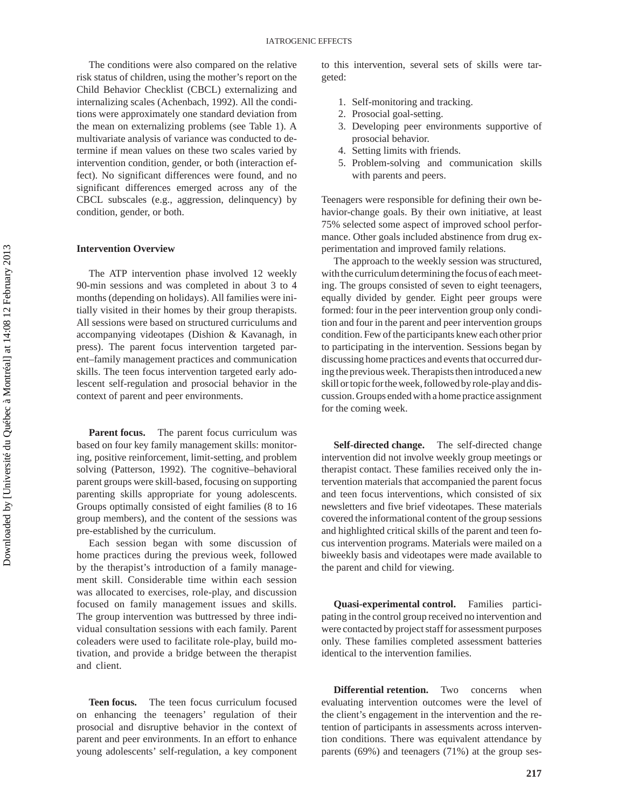The conditions were also compared on the relative risk status of children, using the mother's report on the Child Behavior Checklist (CBCL) externalizing and internalizing scales (Achenbach, 1992). All the conditions were approximately one standard deviation from the mean on externalizing problems (see Table 1). A multivariate analysis of variance was conducted to determine if mean values on these two scales varied by intervention condition, gender, or both (interaction effect). No significant differences were found, and no significant differences emerged across any of the CBCL subscales (e.g., aggression, delinquency) by condition, gender, or both.

#### **Intervention Overview**

The ATP intervention phase involved 12 weekly 90-min sessions and was completed in about 3 to 4 months (depending on holidays). All families were initially visited in their homes by their group therapists. All sessions were based on structured curriculums and accompanying videotapes (Dishion & Kavanagh, in press). The parent focus intervention targeted parent–family management practices and communication skills. The teen focus intervention targeted early adolescent self-regulation and prosocial behavior in the context of parent and peer environments.

**Parent focus.** The parent focus curriculum was based on four key family management skills: monitoring, positive reinforcement, limit-setting, and problem solving (Patterson, 1992). The cognitive–behavioral parent groups were skill-based, focusing on supporting parenting skills appropriate for young adolescents. Groups optimally consisted of eight families (8 to 16 group members), and the content of the sessions was pre-established by the curriculum.

Each session began with some discussion of home practices during the previous week, followed by the therapist's introduction of a family management skill. Considerable time within each session was allocated to exercises, role-play, and discussion focused on family management issues and skills. The group intervention was buttressed by three individual consultation sessions with each family. Parent coleaders were used to facilitate role-play, build motivation, and provide a bridge between the therapist and client.

**Teen focus.** The teen focus curriculum focused on enhancing the teenagers' regulation of their prosocial and disruptive behavior in the context of parent and peer environments. In an effort to enhance young adolescents' self-regulation, a key component to this intervention, several sets of skills were targeted:

- 1. Self-monitoring and tracking.
- 2. Prosocial goal-setting.
- 3. Developing peer environments supportive of prosocial behavior.
- 4. Setting limits with friends.
- 5. Problem-solving and communication skills with parents and peers.

Teenagers were responsible for defining their own behavior-change goals. By their own initiative, at least 75% selected some aspect of improved school performance. Other goals included abstinence from drug experimentation and improved family relations.

The approach to the weekly session was structured, with the curriculum determining the focus of each meeting. The groups consisted of seven to eight teenagers, equally divided by gender. Eight peer groups were formed: four in the peer intervention group only condition and four in the parent and peer intervention groups condition. Few of the participants knew each other prior to participating in the intervention. Sessions began by discussing home practices and events that occurred during the previous week. Therapists then introduced a new skill or topic for the week, followed by role-play and discussion. Groups ended with a home practice assignment for the coming week.

**Self-directed change.** The self-directed change intervention did not involve weekly group meetings or therapist contact. These families received only the intervention materials that accompanied the parent focus and teen focus interventions, which consisted of six newsletters and five brief videotapes. These materials covered the informational content of the group sessions and highlighted critical skills of the parent and teen focus intervention programs. Materials were mailed on a biweekly basis and videotapes were made available to the parent and child for viewing.

**Quasi-experimental control.** Families participating in the control group received no intervention and were contacted by project staff for assessment purposes only. These families completed assessment batteries identical to the intervention families.

**Differential retention.** Two concerns when evaluating intervention outcomes were the level of the client's engagement in the intervention and the retention of participants in assessments across intervention conditions. There was equivalent attendance by parents (69%) and teenagers (71%) at the group ses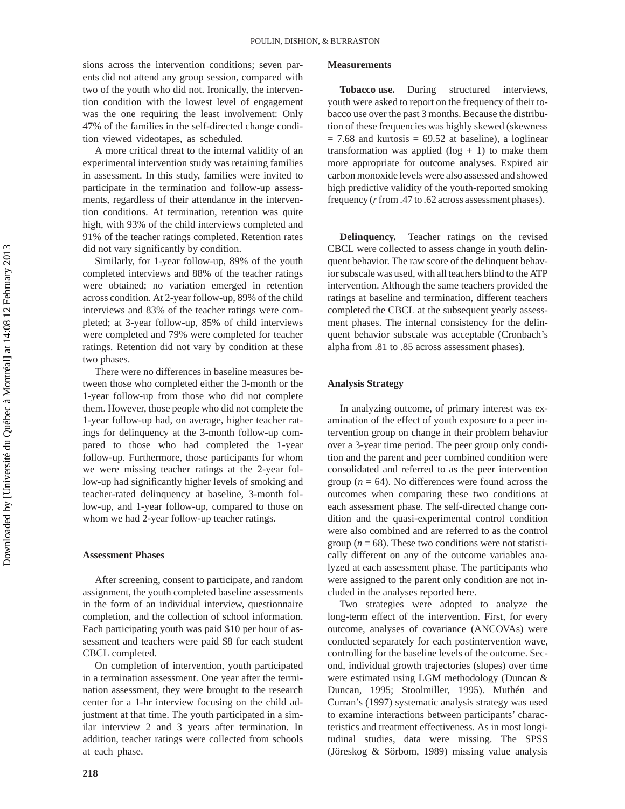sions across the intervention conditions; seven parents did not attend any group session, compared with two of the youth who did not. Ironically, the intervention condition with the lowest level of engagement was the one requiring the least involvement: Only 47% of the families in the self-directed change condition viewed videotapes, as scheduled.

A more critical threat to the internal validity of an experimental intervention study was retaining families in assessment. In this study, families were invited to participate in the termination and follow-up assessments, regardless of their attendance in the intervention conditions. At termination, retention was quite high, with 93% of the child interviews completed and 91% of the teacher ratings completed. Retention rates did not vary significantly by condition.

Similarly, for 1-year follow-up, 89% of the youth completed interviews and 88% of the teacher ratings were obtained; no variation emerged in retention across condition. At 2-year follow-up, 89% of the child interviews and 83% of the teacher ratings were completed; at 3-year follow-up, 85% of child interviews were completed and 79% were completed for teacher ratings. Retention did not vary by condition at these two phases.

There were no differences in baseline measures between those who completed either the 3-month or the 1-year follow-up from those who did not complete them. However, those people who did not complete the 1-year follow-up had, on average, higher teacher ratings for delinquency at the 3-month follow-up compared to those who had completed the 1-year follow-up. Furthermore, those participants for whom we were missing teacher ratings at the 2-year follow-up had significantly higher levels of smoking and teacher-rated delinquency at baseline, 3-month follow-up, and 1-year follow-up, compared to those on whom we had 2-year follow-up teacher ratings.

#### **Assessment Phases**

After screening, consent to participate, and random assignment, the youth completed baseline assessments in the form of an individual interview, questionnaire completion, and the collection of school information. Each participating youth was paid \$10 per hour of assessment and teachers were paid \$8 for each student CBCL completed.

On completion of intervention, youth participated in a termination assessment. One year after the termination assessment, they were brought to the research center for a 1-hr interview focusing on the child adjustment at that time. The youth participated in a similar interview 2 and 3 years after termination. In addition, teacher ratings were collected from schools at each phase.

#### **Measurements**

**Tobacco use.** During structured interviews, youth were asked to report on the frequency of their tobacco use over the past 3 months. Because the distribution of these frequencies was highly skewed (skewness  $= 7.68$  and kurtosis  $= 69.52$  at baseline), a loglinear transformation was applied  $(\log + 1)$  to make them more appropriate for outcome analyses. Expired air carbon monoxide levels were also assessed and showed high predictive validity of the youth-reported smoking frequency (*r*from .47 to .62 across assessment phases).

**Delinquency.** Teacher ratings on the revised CBCL were collected to assess change in youth delinquent behavior. The raw score of the delinquent behavior subscale was used, with all teachers blind to the ATP intervention. Although the same teachers provided the ratings at baseline and termination, different teachers completed the CBCL at the subsequent yearly assessment phases. The internal consistency for the delinquent behavior subscale was acceptable (Cronbach's alpha from .81 to .85 across assessment phases).

#### **Analysis Strategy**

In analyzing outcome, of primary interest was examination of the effect of youth exposure to a peer intervention group on change in their problem behavior over a 3-year time period. The peer group only condition and the parent and peer combined condition were consolidated and referred to as the peer intervention group ( $n = 64$ ). No differences were found across the outcomes when comparing these two conditions at each assessment phase. The self-directed change condition and the quasi-experimental control condition were also combined and are referred to as the control group ( $n = 68$ ). These two conditions were not statistically different on any of the outcome variables analyzed at each assessment phase. The participants who were assigned to the parent only condition are not included in the analyses reported here.

Two strategies were adopted to analyze the long-term effect of the intervention. First, for every outcome, analyses of covariance (ANCOVAs) were conducted separately for each postintervention wave, controlling for the baseline levels of the outcome. Second, individual growth trajectories (slopes) over time were estimated using LGM methodology (Duncan & Duncan, 1995; Stoolmiller, 1995). Muthén and Curran's (1997) systematic analysis strategy was used to examine interactions between participants' characteristics and treatment effectiveness. As in most longitudinal studies, data were missing. The SPSS (Jöreskog & Sörbom, 1989) missing value analysis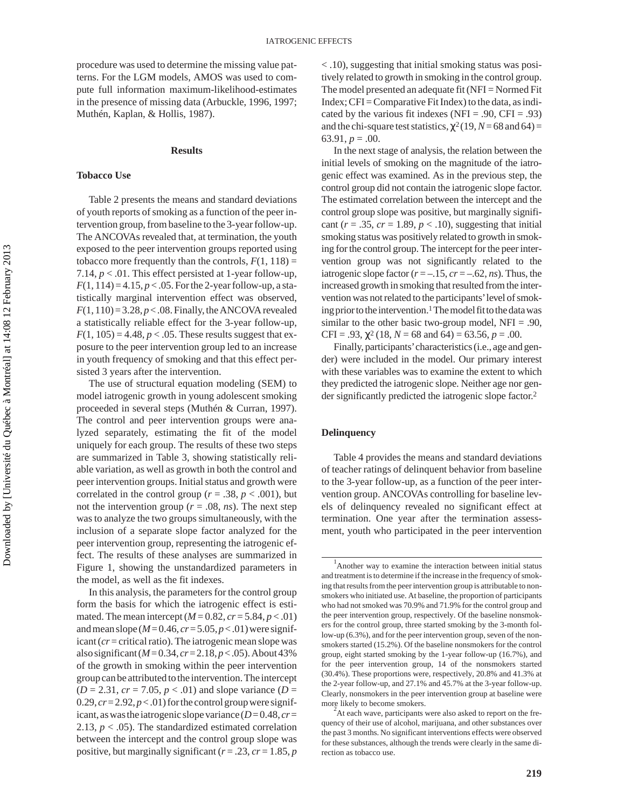procedure was used to determine the missing value patterns. For the LGM models, AMOS was used to compute full information maximum-likelihood-estimates in the presence of missing data (Arbuckle, 1996, 1997; Muthén, Kaplan, & Hollis, 1987).

#### **Results**

#### **Tobacco Use**

Table 2 presents the means and standard deviations of youth reports of smoking as a function of the peer intervention group, from baseline to the 3-year follow-up. The ANCOVAs revealed that, at termination, the youth exposed to the peer intervention groups reported using tobacco more frequently than the controls,  $F(1, 118) =$ 7.14, *p* < .01. This effect persisted at 1-year follow-up,  $F(1, 114) = 4.15, p < .05$ . For the 2-year follow-up, a statistically marginal intervention effect was observed,  $F(1, 110) = 3.28, p < .08$ . Finally, the ANCOVA revealed a statistically reliable effect for the 3-year follow-up,  $F(1, 105) = 4.48$ ,  $p < .05$ . These results suggest that exposure to the peer intervention group led to an increase in youth frequency of smoking and that this effect persisted 3 years after the intervention.

The use of structural equation modeling (SEM) to model iatrogenic growth in young adolescent smoking proceeded in several steps (Muthén & Curran, 1997). The control and peer intervention groups were analyzed separately, estimating the fit of the model uniquely for each group. The results of these two steps are summarized in Table 3, showing statistically reliable variation, as well as growth in both the control and peer intervention groups. Initial status and growth were correlated in the control group ( $r = .38$ ,  $p < .001$ ), but not the intervention group ( $r = .08$ , *ns*). The next step was to analyze the two groups simultaneously, with the inclusion of a separate slope factor analyzed for the peer intervention group, representing the iatrogenic effect. The results of these analyses are summarized in Figure 1, showing the unstandardized parameters in the model, as well as the fit indexes.

In this analysis, the parameters for the control group form the basis for which the iatrogenic effect is estimated. The mean intercept  $(M=0.82, cr=5.84, p<0.01)$ and mean slope  $(M=0.46, cr=5.05, p<0.1)$  were significant (*cr* = critical ratio). The iatrogenic mean slope was also significant  $(M=0.34, cr=2.18, p<.05)$ . About 43% of the growth in smoking within the peer intervention group can be attributed to the intervention. The intercept  $(D = 2.31, cr = 7.05, p < .01)$  and slope variance  $(D = 1.05, p < .01)$  $0.29, cr = 2.92, p < .01$  for the control group were significant, as was the iatrogenic slope variance  $(D=0.48, cr=$ 2.13,  $p < .05$ ). The standardized estimated correlation between the intercept and the control group slope was positive, but marginally significant  $(r = .23, cr = 1.85, p$  < .10), suggesting that initial smoking status was positively related to growth in smoking in the control group. The model presented an adequate fit (NFI = Normed Fit Index; CFI = Comparative Fit Index) to the data, as indicated by the various fit indexes (NFI = .90, CFI = .93) and the chi-square test statistics,  $\chi^2$  (19, *N* = 68 and 64) = 63.91,  $p = .00$ .

In the next stage of analysis, the relation between the initial levels of smoking on the magnitude of the iatrogenic effect was examined. As in the previous step, the control group did not contain the iatrogenic slope factor. The estimated correlation between the intercept and the control group slope was positive, but marginally significant ( $r = .35$ ,  $cr = 1.89$ ,  $p < .10$ ), suggesting that initial smoking status was positively related to growth in smoking for the control group. The intercept for the peer intervention group was not significantly related to the iatrogenic slope factor  $(r = -.15, cr = -.62, ns)$ . Thus, the increased growth in smoking that resulted from the intervention was not related to the participants'level of smoking prior to the intervention.<sup>1</sup> The model fit to the data was similar to the other basic two-group model,  $NFI = .90$ , CFI = .93,  $\chi^2$  (18, *N* = 68 and 64) = 63.56, *p* = .00.

Finally, participants'characteristics (i.e., age and gender) were included in the model. Our primary interest with these variables was to examine the extent to which they predicted the iatrogenic slope. Neither age nor gender significantly predicted the iatrogenic slope factor.2

#### **Delinquency**

Table 4 provides the means and standard deviations of teacher ratings of delinquent behavior from baseline to the 3-year follow-up, as a function of the peer intervention group. ANCOVAs controlling for baseline levels of delinquency revealed no significant effect at termination. One year after the termination assessment, youth who participated in the peer intervention

<sup>&</sup>lt;sup>1</sup> Another way to examine the interaction between initial status and treatment is to determine if the increase in the frequency of smoking that results from the peer intervention group is attributable to nonsmokers who initiated use. At baseline, the proportion of participants who had not smoked was 70.9% and 71.9% for the control group and the peer intervention group, respectively. Of the baseline nonsmokers for the control group, three started smoking by the 3-month follow-up (6.3%), and for the peer intervention group, seven of the nonsmokers started (15.2%). Of the baseline nonsmokers for the control group, eight started smoking by the 1-year follow-up (16.7%), and for the peer intervention group, 14 of the nonsmokers started (30.4%). These proportions were, respectively, 20.8% and 41.3% at the 2-year follow-up, and 27.1% and 45.7% at the 3-year follow-up. Clearly, nonsmokers in the peer intervention group at baseline were more likely to become smokers. <sup>2</sup>

At each wave, participants were also asked to report on the frequency of their use of alcohol, marijuana, and other substances over the past 3 months. No significant interventions effects were observed for these substances, although the trends were clearly in the same direction as tobacco use.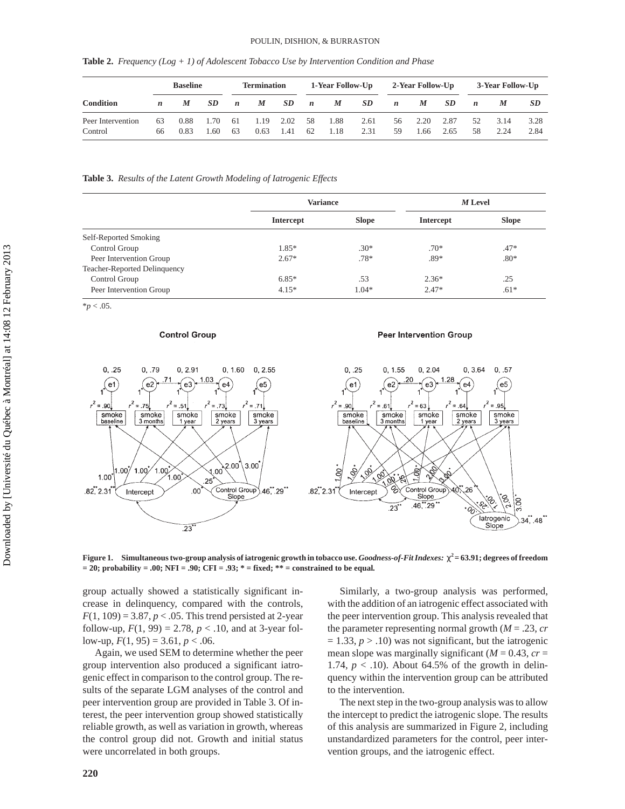#### POULIN, DISHION, & BURRASTON

|  |  |  |  |  |  |  | <b>Table 2.</b> Frequency ( $Log + 1$ ) of Adolescent Tobacco Use by Intervention Condition and Phase |  |  |  |
|--|--|--|--|--|--|--|-------------------------------------------------------------------------------------------------------|--|--|--|
|--|--|--|--|--|--|--|-------------------------------------------------------------------------------------------------------|--|--|--|

|                   | <b>Baseline</b>  |      |      | <b>Termination</b> |   | 1-Year Follow-Up |                |      | 2-Year Follow-Up |                  |      | 3-Year Follow-Up |                  |      |           |
|-------------------|------------------|------|------|--------------------|---|------------------|----------------|------|------------------|------------------|------|------------------|------------------|------|-----------|
| <b>Condition</b>  | $\boldsymbol{n}$ | M    | SD.  | $\boldsymbol{n}$   | M | SD.              | $\overline{n}$ | M    | <b>SD</b>        | $\boldsymbol{n}$ | M    | SD.              | $\boldsymbol{n}$ | M    | <b>SD</b> |
| Peer Intervention | 63               | 0.88 | 1.70 | -61                |   | 1.19 2.02        | - 58           | 1.88 | 2.61             | 56               | 2.20 | 2.87             | 52               | 3.14 | 3.28      |
| Control           | 66               | 0.83 | 1.60 | -63                |   | $0.63$ 1.41      | 62             | 1.18 | 2.31             | 59               | 1.66 | 2.65             | 58               | 2.24 | 2.84      |

**Table 3.** *Results of the Latent Growth Modeling of Iatrogenic Effects*

|                              | Variance         |              |                  | M Level      |
|------------------------------|------------------|--------------|------------------|--------------|
|                              | <b>Intercept</b> | <b>Slope</b> | <b>Intercept</b> | <b>Slope</b> |
| Self-Reported Smoking        |                  |              |                  |              |
| Control Group                | $1.85*$          | $.30*$       | $.70*$           | $.47*$       |
| Peer Intervention Group      | $2.67*$          | $.78*$       | $.89*$           | $.80*$       |
| Teacher-Reported Delinquency |                  |              |                  |              |
| Control Group                | $6.85*$          | .53          | $2.36*$          | .25          |
| Peer Intervention Group      | $4.15*$          | $1.04*$      | $2.47*$          | $.61*$       |

 $*p < .05$ .

#### **Control Group**

#### **Peer Intervention Group**



**Figure 1. Simultaneous two-group analysis of iatrogenic growth in tobacco use.** *Goodness-of-Fit Indexes:* χ**<sup>2</sup>** *=* **63.91; degrees of freedom = 20; probability = .00; NFI = .90; CFI = .93; \* = fixed; \*\* = constrained to be equal***.*

group actually showed a statistically significant increase in delinquency, compared with the controls,  $F(1, 109) = 3.87, p < .05$ . This trend persisted at 2-year follow-up,  $F(1, 99) = 2.78$ ,  $p < .10$ , and at 3-year follow-up,  $F(1, 95) = 3.61, p < .06$ .

Again, we used SEM to determine whether the peer group intervention also produced a significant iatrogenic effect in comparison to the control group. The results of the separate LGM analyses of the control and peer intervention group are provided in Table 3. Of interest, the peer intervention group showed statistically reliable growth, as well as variation in growth, whereas the control group did not. Growth and initial status were uncorrelated in both groups.

Similarly, a two-group analysis was performed, with the addition of an iatrogenic effect associated with the peer intervention group. This analysis revealed that the parameter representing normal growth  $(M = .23, cr)$  $= 1.33, p > 0.10$  was not significant, but the iatrogenic mean slope was marginally significant ( $M = 0.43$ ,  $cr =$ 1.74,  $p < 0.10$ . About 64.5% of the growth in delinquency within the intervention group can be attributed to the intervention

The next step in the two-group analysis was to allow the intercept to predict the iatrogenic slope. The results of this analysis are summarized in Figure 2, including unstandardized parameters for the control, peer intervention groups, and the iatrogenic effect.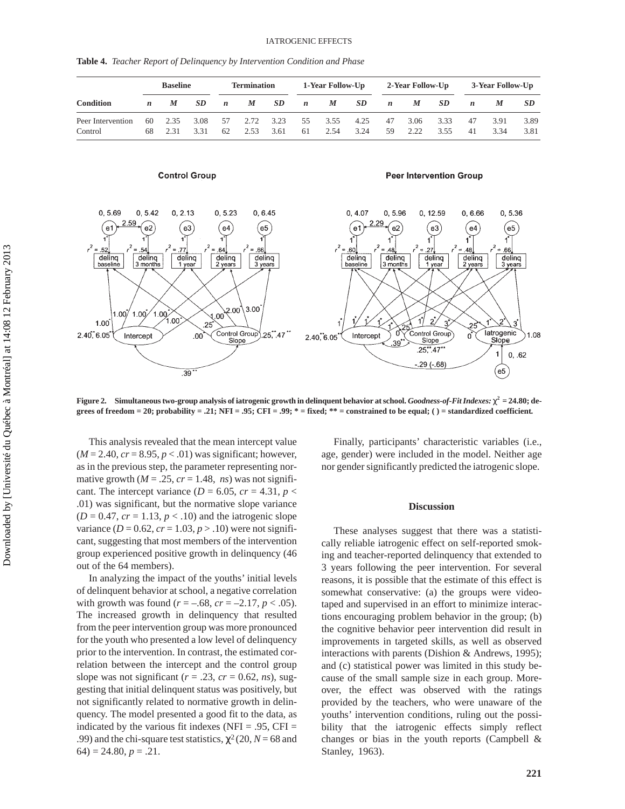**Table 4.** *Teacher Report of Delinquency by Intervention Condition and Phase*

**Control Group** 

|                   | <b>Baseline</b>  |      | <b>Termination</b> |                  | 1-Year Follow-Up |           |                  | 2-Year Follow-Up |      |              | 3-Year Follow-Up |           |                  |      |      |
|-------------------|------------------|------|--------------------|------------------|------------------|-----------|------------------|------------------|------|--------------|------------------|-----------|------------------|------|------|
| <b>Condition</b>  | $\boldsymbol{n}$ | M    | SD.                | $\boldsymbol{n}$ | $\boldsymbol{M}$ | -SD       | $\boldsymbol{n}$ | $\boldsymbol{M}$ | -SD  | $\mathbf{n}$ | M                | <b>SD</b> | $\boldsymbol{n}$ | M    | SD.  |
| Peer Intervention | 60               | 2.35 | 3.08               | 57               |                  | 2.72 3.23 | 55               | 3.55             | 4.25 | 47           | 3.06             | 3.33      | 47               | 3.91 | 3.89 |
| Control           | 68.              | 2.31 | 3.31               | 62               | 2.53             | 3.61      | 61               | 2.54             | 3.24 | 59           | 2.22             | 3.55      | 41               | 3.34 | 3.81 |



**Figure 2. Simultaneous two-group analysis of iatrogenic growth in delinquent behavior at school.** *Goodness-of-Fit Indexes:* χ**<sup>2</sup>** *=* **24.80; degrees of freedom = 20; probability = .21; NFI = .95; CFI = .99; \* = fixed; \*\* = constrained to be equal; ( ) = standardized coefficient***.*

This analysis revealed that the mean intercept value  $(M = 2.40, cr = 8.95, p < .01)$  was significant; however, as in the previous step, the parameter representing normative growth  $(M = .25, cr = 1.48, ns)$  was not significant. The intercept variance ( $D = 6.05$ ,  $cr = 4.31$ ,  $p <$ .01) was significant, but the normative slope variance  $(D = 0.47, cr = 1.13, p < .10)$  and the iatrogenic slope variance  $(D = 0.62, cr = 1.03, p > .10)$  were not significant, suggesting that most members of the intervention group experienced positive growth in delinquency (46 out of the 64 members).

In analyzing the impact of the youths' initial levels of delinquent behavior at school, a negative correlation with growth was found  $(r = -.68, cr = -2.17, p < .05)$ . The increased growth in delinquency that resulted from the peer intervention group was more pronounced for the youth who presented a low level of delinquency prior to the intervention. In contrast, the estimated correlation between the intercept and the control group slope was not significant  $(r = .23, cr = 0.62, ns)$ , suggesting that initial delinquent status was positively, but not significantly related to normative growth in delinquency. The model presented a good fit to the data, as indicated by the various fit indexes (NFI = .95, CFI = .99) and the chi-square test statistics,  $\chi^2$  (20, *N* = 68 and  $64$ ) = 24.80,  $p = .21$ .

Finally, participants' characteristic variables (i.e., age, gender) were included in the model. Neither age nor gender significantly predicted the iatrogenic slope.

**Peer Intervention Group** 

#### **Discussion**

These analyses suggest that there was a statistically reliable iatrogenic effect on self-reported smoking and teacher-reported delinquency that extended to 3 years following the peer intervention. For several reasons, it is possible that the estimate of this effect is somewhat conservative: (a) the groups were videotaped and supervised in an effort to minimize interactions encouraging problem behavior in the group; (b) the cognitive behavior peer intervention did result in improvements in targeted skills, as well as observed interactions with parents (Dishion & Andrews, 1995); and (c) statistical power was limited in this study because of the small sample size in each group. Moreover, the effect was observed with the ratings provided by the teachers, who were unaware of the youths' intervention conditions, ruling out the possibility that the iatrogenic effects simply reflect changes or bias in the youth reports (Campbell & Stanley, 1963).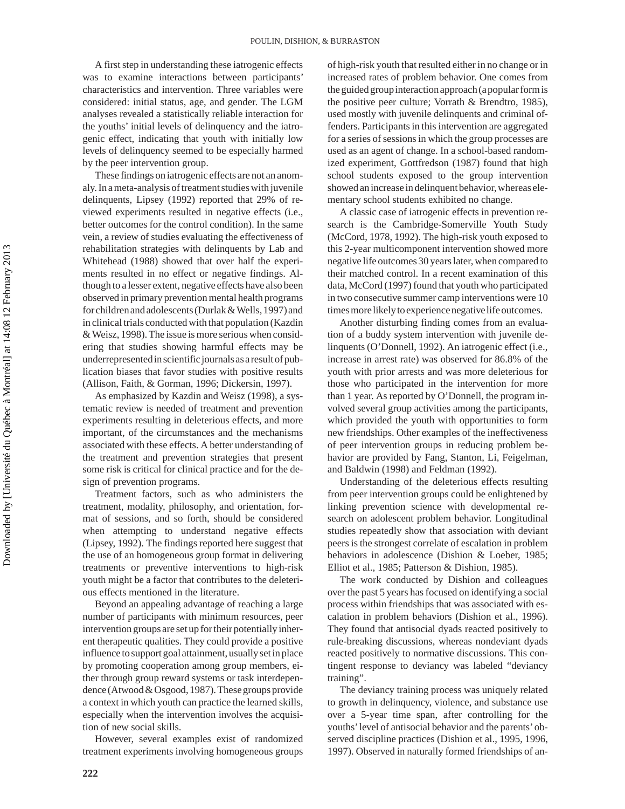A first step in understanding these iatrogenic effects was to examine interactions between participants' characteristics and intervention. Three variables were considered: initial status, age, and gender. The LGM analyses revealed a statistically reliable interaction for the youths' initial levels of delinquency and the iatrogenic effect, indicating that youth with initially low levels of delinquency seemed to be especially harmed by the peer intervention group.

These findings on iatrogenic effects are not an anomaly. In a meta-analysis of treatment studies with juvenile delinquents, Lipsey (1992) reported that 29% of reviewed experiments resulted in negative effects (i.e., better outcomes for the control condition). In the same vein, a review of studies evaluating the effectiveness of rehabilitation strategies with delinquents by Lab and Whitehead (1988) showed that over half the experiments resulted in no effect or negative findings. Although to a lesser extent, negative effects have also been observed in primary prevention mental health programs for children and adolescents (Durlak & Wells, 1997) and in clinical trials conducted with that population (Kazdin & Weisz, 1998). The issue is more serious when considering that studies showing harmful effects may be underrepresentedinscientificjournalsasaresultofpublication biases that favor studies with positive results (Allison, Faith, & Gorman, 1996; Dickersin, 1997).

As emphasized by Kazdin and Weisz (1998), a systematic review is needed of treatment and prevention experiments resulting in deleterious effects, and more important, of the circumstances and the mechanisms associated with these effects. A better understanding of the treatment and prevention strategies that present some risk is critical for clinical practice and for the design of prevention programs.

Treatment factors, such as who administers the treatment, modality, philosophy, and orientation, format of sessions, and so forth, should be considered when attempting to understand negative effects (Lipsey, 1992). The findings reported here suggest that the use of an homogeneous group format in delivering treatments or preventive interventions to high-risk youth might be a factor that contributes to the deleterious effects mentioned in the literature.

Beyond an appealing advantage of reaching a large number of participants with minimum resources, peer intervention groups are set up for their potentially inherent therapeutic qualities. They could provide a positive influence to support goal attainment, usually set in place by promoting cooperation among group members, either through group reward systems or task interdependence (Atwood & Osgood, 1987). These groups provide a context in which youth can practice the learned skills, especially when the intervention involves the acquisition of new social skills.

However, several examples exist of randomized treatment experiments involving homogeneous groups

of high-risk youth that resulted either in no change or in increased rates of problem behavior. One comes from the guided group interaction approach (a popular form is the positive peer culture; Vorrath & Brendtro, 1985), used mostly with juvenile delinquents and criminal offenders. Participants in this intervention are aggregated for a series of sessions in which the group processes are used as an agent of change. In a school-based randomized experiment, Gottfredson (1987) found that high school students exposed to the group intervention showed an increase in delinquent behavior, whereas elementary school students exhibited no change.

A classic case of iatrogenic effects in prevention research is the Cambridge-Somerville Youth Study (McCord, 1978, 1992). The high-risk youth exposed to this 2-year multicomponent intervention showed more negative life outcomes 30 years later, when compared to their matched control. In a recent examination of this data, McCord (1997) found that youth who participated in two consecutive summer camp interventions were 10 times more likely to experience negative life outcomes.

Another disturbing finding comes from an evaluation of a buddy system intervention with juvenile delinquents (O'Donnell, 1992). An iatrogenic effect (i.e., increase in arrest rate) was observed for 86.8% of the youth with prior arrests and was more deleterious for those who participated in the intervention for more than 1 year. As reported by O'Donnell, the program involved several group activities among the participants, which provided the youth with opportunities to form new friendships. Other examples of the ineffectiveness of peer intervention groups in reducing problem behavior are provided by Fang, Stanton, Li, Feigelman, and Baldwin (1998) and Feldman (1992).

Understanding of the deleterious effects resulting from peer intervention groups could be enlightened by linking prevention science with developmental research on adolescent problem behavior. Longitudinal studies repeatedly show that association with deviant peers is the strongest correlate of escalation in problem behaviors in adolescence (Dishion & Loeber, 1985; Elliot et al., 1985; Patterson & Dishion, 1985).

The work conducted by Dishion and colleagues over the past 5 years has focused on identifying a social process within friendships that was associated with escalation in problem behaviors (Dishion et al., 1996). They found that antisocial dyads reacted positively to rule-breaking discussions, whereas nondeviant dyads reacted positively to normative discussions. This contingent response to deviancy was labeled "deviancy training".

The deviancy training process was uniquely related to growth in delinquency, violence, and substance use over a 5-year time span, after controlling for the youths'level of antisocial behavior and the parents'observed discipline practices (Dishion et al., 1995, 1996, 1997). Observed in naturally formed friendships of an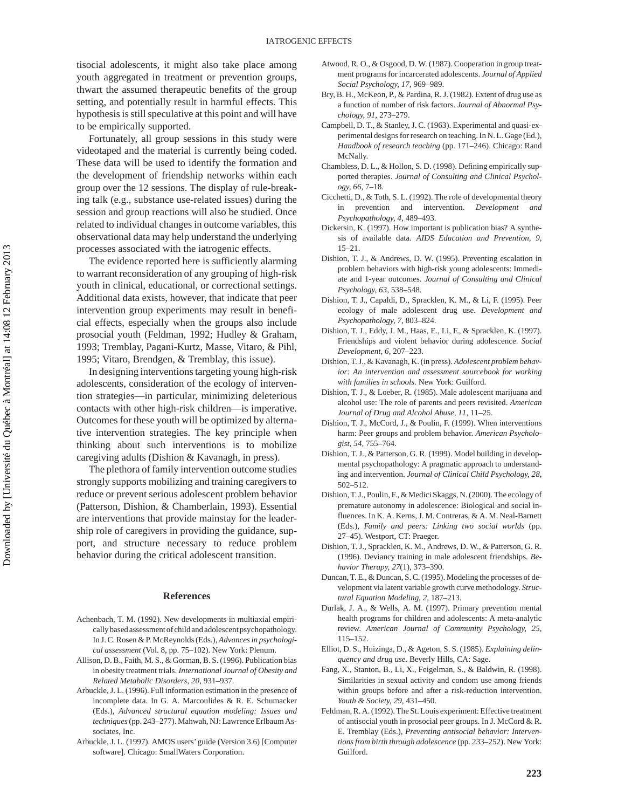tisocial adolescents, it might also take place among youth aggregated in treatment or prevention groups, thwart the assumed therapeutic benefits of the group setting, and potentially result in harmful effects. This hypothesis is still speculative at this point and will have to be empirically supported.

Fortunately, all group sessions in this study were videotaped and the material is currently being coded. These data will be used to identify the formation and the development of friendship networks within each group over the 12 sessions. The display of rule-breaking talk (e.g., substance use-related issues) during the session and group reactions will also be studied. Once related to individual changes in outcome variables, this observational data may help understand the underlying processes associated with the iatrogenic effects.

The evidence reported here is sufficiently alarming to warrant reconsideration of any grouping of high-risk youth in clinical, educational, or correctional settings. Additional data exists, however, that indicate that peer intervention group experiments may result in beneficial effects, especially when the groups also include prosocial youth (Feldman, 1992; Hudley & Graham, 1993; Tremblay, Pagani-Kurtz, Masse, Vitaro, & Pihl, 1995; Vitaro, Brendgen, & Tremblay, this issue).

In designing interventions targeting young high-risk adolescents, consideration of the ecology of intervention strategies—in particular, minimizing deleterious contacts with other high-risk children—is imperative. Outcomes for these youth will be optimized by alternative intervention strategies. The key principle when thinking about such interventions is to mobilize caregiving adults (Dishion & Kavanagh, in press).

The plethora of family intervention outcome studies strongly supports mobilizing and training caregivers to reduce or prevent serious adolescent problem behavior (Patterson, Dishion, & Chamberlain, 1993). Essential are interventions that provide mainstay for the leadership role of caregivers in providing the guidance, support, and structure necessary to reduce problem behavior during the critical adolescent transition.

#### **References**

- Achenbach, T. M. (1992). New developments in multiaxial empiricallybasedassessmentofchildandadolescentpsychopathology. In J. C. Rosen & P. McReynolds (Eds.), *Advances in psychological assessment* (Vol. 8, pp. 75–102). New York: Plenum.
- Allison, D. B., Faith, M. S., & Gorman, B. S. (1996). Publication bias in obesity treatment trials. *International Journal of Obesity and Related Metabolic Disorders, 20,* 931–937.
- Arbuckle, J. L. (1996). Full information estimation in the presence of incomplete data. In G. A. Marcoulides & R. E. Schumacker (Eds.), *Advanced structural equation modeling: Issues and techniques*(pp. 243–277). Mahwah, NJ: Lawrence Erlbaum Associates, Inc.
- Arbuckle, J. L. (1997). AMOS users' guide (Version 3.6) [Computer software]. Chicago: SmallWaters Corporation.
- Atwood, R. O., & Osgood, D. W. (1987). Cooperation in group treatment programs for incarcerated adolescents. *Journal of Applied Social Psychology, 17,* 969–989.
- Bry, B. H., McKeon, P., & Pardina, R. J. (1982). Extent of drug use as a function of number of risk factors. *Journal of Abnormal Psychology, 91,* 273–279.
- Campbell, D. T., & Stanley, J. C. (1963). Experimental and quasi-experimental designs for research on teaching. In N. L. Gage (Ed.), *Handbook of research teaching* (pp. 171–246). Chicago: Rand McNally.
- Chambless, D. L., & Hollon, S. D. (1998). Defining empirically supported therapies. *Journal of Consulting and Clinical Psychology, 66,* 7–18.
- Cicchetti, D., & Toth, S. L. (1992). The role of developmental theory in prevention and intervention. *Development Psychopathology, 4,* 489–493.
- Dickersin, K. (1997). How important is publication bias? A synthesis of available data. *AIDS Education and Prevention, 9,* 15–21.
- Dishion, T. J., & Andrews, D. W. (1995). Preventing escalation in problem behaviors with high-risk young adolescents: Immediate and 1-year outcomes. *Journal of Consulting and Clinical Psychology, 63,* 538–548.
- Dishion, T. J., Capaldi, D., Spracklen, K. M., & Li, F. (1995). Peer ecology of male adolescent drug use. *Development and Psychopathology, 7,* 803–824.
- Dishion, T. J., Eddy, J. M., Haas, E., Li, F., & Spracklen, K. (1997). Friendships and violent behavior during adolescence. *Social Development, 6,* 207–223.
- Dishion, T. J., & Kavanagh, K. (in press). *Adolescent problem behavior: An intervention and assessment sourcebook for working with families in schools.* New York: Guilford.
- Dishion, T. J., & Loeber, R. (1985). Male adolescent marijuana and alcohol use: The role of parents and peers revisited. *American Journal of Drug and Alcohol Abuse, 11,* 11–25.
- Dishion, T. J., McCord, J., & Poulin, F. (1999). When interventions harm: Peer groups and problem behavior. *American Psychologist, 54,* 755–764.
- Dishion, T. J., & Patterson, G. R. (1999). Model building in developmental psychopathology: A pragmatic approach to understanding and intervention. *Journal of Clinical Child Psychology, 28,* 502–512.
- Dishion, T. J., Poulin, F., & Medici Skaggs, N. (2000). The ecology of premature autonomy in adolescence: Biological and social influences. In K. A. Kerns, J. M. Contreras, & A. M. Neal-Barnett (Eds.), *Family and peers: Linking two social worlds* (pp. 27–45). Westport, CT: Praeger.
- Dishion, T. J., Spracklen, K. M., Andrews, D. W., & Patterson, G. R. (1996). Deviancy training in male adolescent friendships. *Behavior Therapy, 27*(1), 373–390.
- Duncan, T. E., & Duncan, S. C. (1995). Modeling the processes of development via latent variable growth curve methodology. *Structural Equation Modeling, 2,* 187–213.
- Durlak, J. A., & Wells, A. M. (1997). Primary prevention mental health programs for children and adolescents: A meta-analytic review. *American Journal of Community Psychology, 25,* 115–152.
- Elliot, D. S., Huizinga, D., & Ageton, S. S. (1985). *Explaining delinquency and drug use*. Beverly Hills, CA: Sage.
- Fang, X., Stanton, B., Li, X., Feigelman, S., & Baldwin, R. (1998). Similarities in sexual activity and condom use among friends within groups before and after a risk-reduction intervention. *Youth & Society, 29,* 431–450.
- Feldman, R. A. (1992). The St. Louis experiment: Effective treatment of antisocial youth in prosocial peer groups. In J. McCord & R. E. Tremblay (Eds.), *Preventing antisocial behavior: Interventions from birth through adolescence* (pp. 233–252). New York: Guilford.